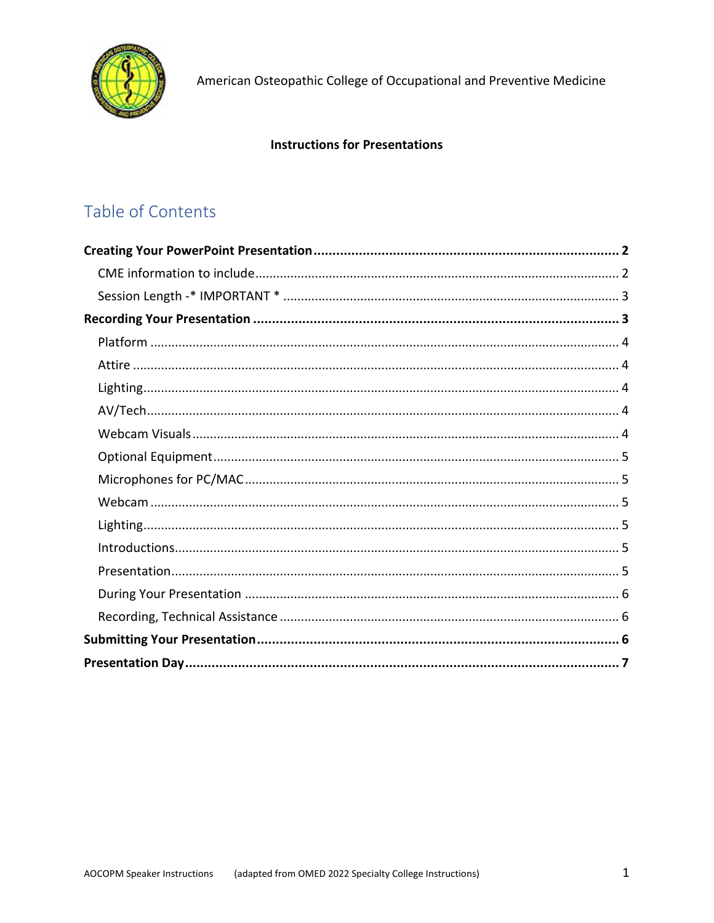

American Osteopathic College of Occupational and Preventive Medicine

#### **Instructions for Presentations**

## Table of Contents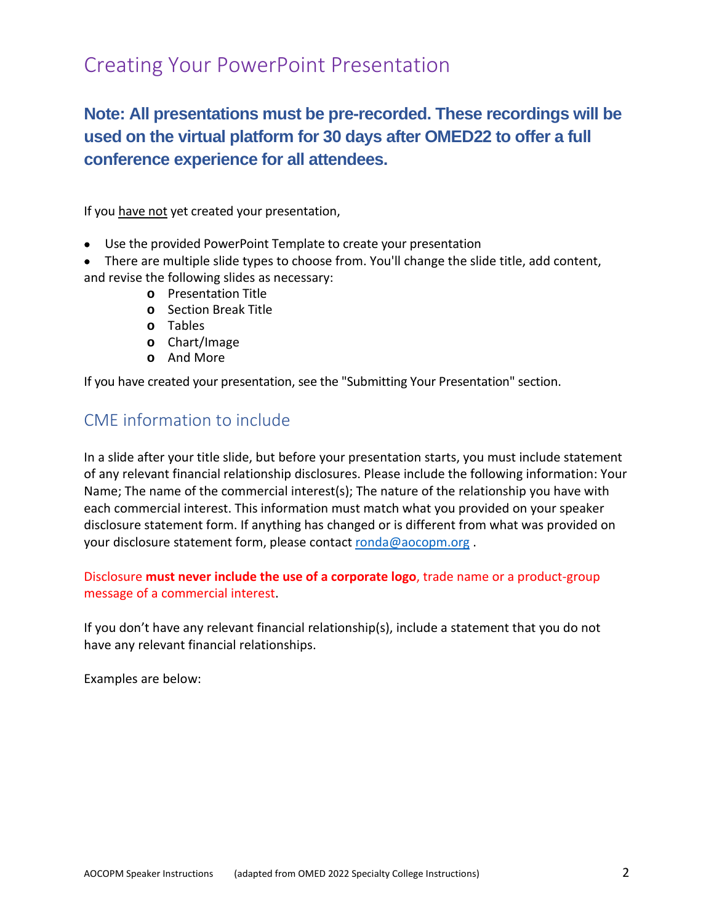# Creating Your PowerPoint Presentation

## **Note: All presentations must be pre-recorded. These recordings will be used on the virtual platform for 30 days after OMED22 to offer a full conference experience for all attendees.**

If you have not yet created your presentation,

- Use the provided PowerPoint Template to create your presentation
- There are multiple slide types to choose from. You'll change the slide title, add content, and revise the following slides as necessary:
	- **o** Presentation Title
	- **o** Section Break Title
	- **o** Tables
	- **o** Chart/Image
	- **o** And More

If you have created your presentation, see the "Submitting Your Presentation" section.

#### CME information to include

In a slide after your title slide, but before your presentation starts, you must include statement of any relevant financial relationship disclosures. Please include the following information: Your Name; The name of the commercial interest(s); The nature of the relationship you have with each commercial interest. This information must match what you provided on your speaker disclosure statement form. If anything has changed or is different from what was provided on your disclosure statement form, please contact ronda@aocopm.org .

Disclosure **must never include the use of a corporate logo**, trade name or a product-group message of a commercial interest.

If you don't have any relevant financial relationship(s), include a statement that you do not have any relevant financial relationships.

Examples are below: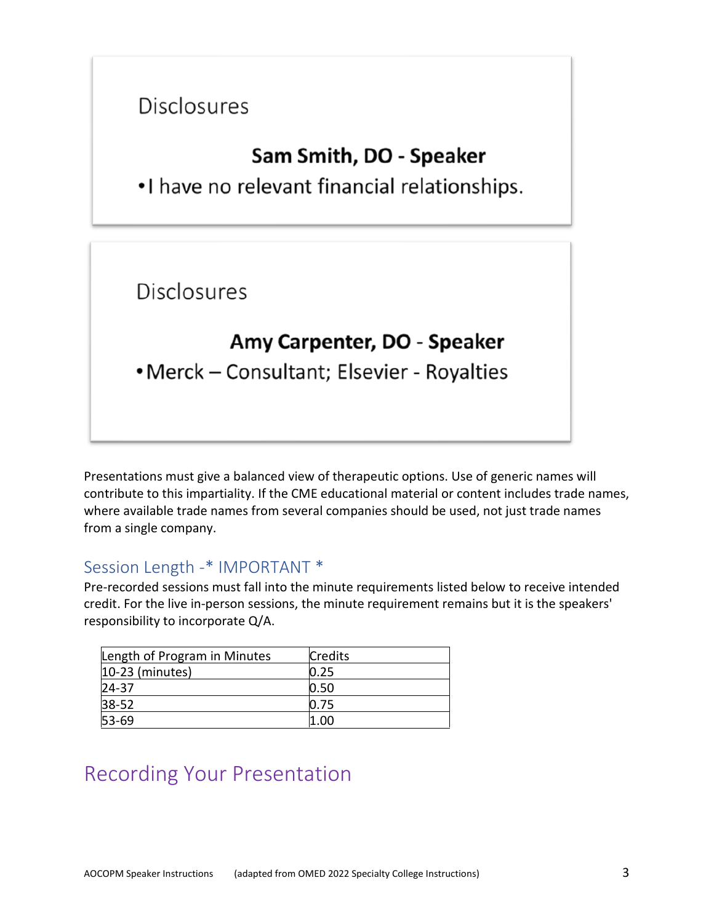# **Disclosures**

# Sam Smith, DO - Speaker

.I have no relevant financial relationships.

**Disclosures** 

# Amy Carpenter, DO - Speaker

• Merck - Consultant; Elsevier - Royalties

Presentations must give a balanced view of therapeutic options. Use of generic names will contribute to this impartiality. If the CME educational material or content includes trade names, where available trade names from several companies should be used, not just trade names from a single company.

## Session Length -\* IMPORTANT \*

Pre-recorded sessions must fall into the minute requirements listed below to receive intended credit. For the live in-person sessions, the minute requirement remains but it is the speakers' responsibility to incorporate Q/A.

| Length of Program in Minutes | <b>Credits</b> |
|------------------------------|----------------|
| $10-23$ (minutes)            | 0.25           |
| 24-37                        | 0.50           |
| $38 - 52$                    | 0.75           |
| $53 - 69$                    | 1.00           |

# Recording Your Presentation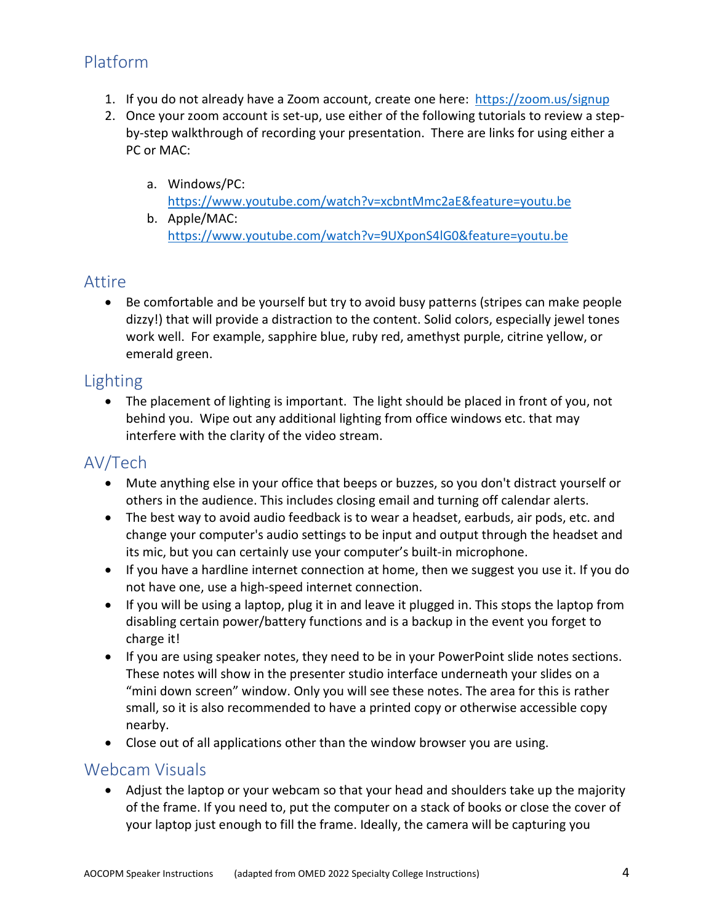## Platform

- 1. If you do not already have a Zoom account, create one here: https://zoom.us/signup
- 2. Once your zoom account is set-up, use either of the following tutorials to review a stepby-step walkthrough of recording your presentation. There are links for using either a PC or MAC:
	- a. Windows/PC: https://www.youtube.com/watch?v=xcbntMmc2aE&feature=youtu.be b. Apple/MAC:
		- https://www.youtube.com/watch?v=9UXponS4lG0&feature=youtu.be

#### Attire

 Be comfortable and be yourself but try to avoid busy patterns (stripes can make people dizzy!) that will provide a distraction to the content. Solid colors, especially jewel tones work well. For example, sapphire blue, ruby red, amethyst purple, citrine yellow, or emerald green.

### Lighting

 The placement of lighting is important. The light should be placed in front of you, not behind you. Wipe out any additional lighting from office windows etc. that may interfere with the clarity of the video stream.

## AV/Tech

- Mute anything else in your office that beeps or buzzes, so you don't distract yourself or others in the audience. This includes closing email and turning off calendar alerts.
- The best way to avoid audio feedback is to wear a headset, earbuds, air pods, etc. and change your computer's audio settings to be input and output through the headset and its mic, but you can certainly use your computer's built-in microphone.
- If you have a hardline internet connection at home, then we suggest you use it. If you do not have one, use a high-speed internet connection.
- If you will be using a laptop, plug it in and leave it plugged in. This stops the laptop from disabling certain power/battery functions and is a backup in the event you forget to charge it!
- If you are using speaker notes, they need to be in your PowerPoint slide notes sections. These notes will show in the presenter studio interface underneath your slides on a "mini down screen" window. Only you will see these notes. The area for this is rather small, so it is also recommended to have a printed copy or otherwise accessible copy nearby.
- Close out of all applications other than the window browser you are using.

#### Webcam Visuals

 Adjust the laptop or your webcam so that your head and shoulders take up the majority of the frame. If you need to, put the computer on a stack of books or close the cover of your laptop just enough to fill the frame. Ideally, the camera will be capturing you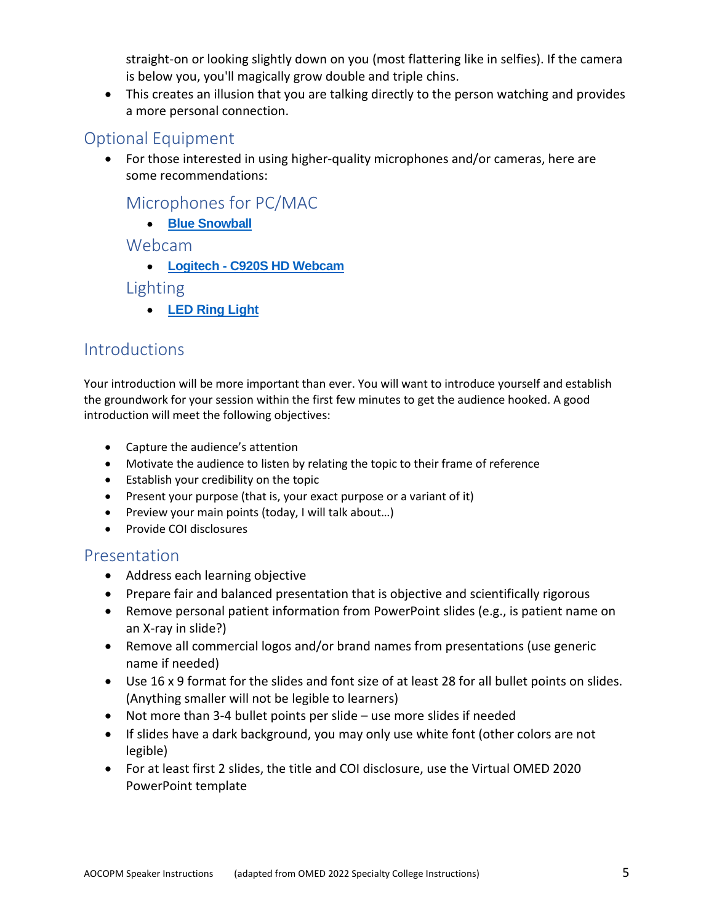straight-on or looking slightly down on you (most flattering like in selfies). If the camera is below you, you'll magically grow double and triple chins.

 This creates an illusion that you are talking directly to the person watching and provides a more personal connection.

## Optional Equipment

 For those interested in using higher-quality microphones and/or cameras, here are some recommendations:

## Microphones for PC/MAC

**Blue Snowball**

#### Webcam

**Logitech - C920S HD Webcam**

#### Lighting

**LED Ring Light**

## **Introductions**

Your introduction will be more important than ever. You will want to introduce yourself and establish the groundwork for your session within the first few minutes to get the audience hooked. A good introduction will meet the following objectives:

- Capture the audience's attention
- Motivate the audience to listen by relating the topic to their frame of reference
- Establish your credibility on the topic
- Present your purpose (that is, your exact purpose or a variant of it)
- Preview your main points (today, I will talk about…)
- Provide COI disclosures

#### Presentation

- Address each learning objective
- Prepare fair and balanced presentation that is objective and scientifically rigorous
- Remove personal patient information from PowerPoint slides (e.g., is patient name on an X-ray in slide?)
- Remove all commercial logos and/or brand names from presentations (use generic name if needed)
- Use 16 x 9 format for the slides and font size of at least 28 for all bullet points on slides. (Anything smaller will not be legible to learners)
- Not more than 3-4 bullet points per slide use more slides if needed
- If slides have a dark background, you may only use white font (other colors are not legible)
- For at least first 2 slides, the title and COI disclosure, use the Virtual OMED 2020 PowerPoint template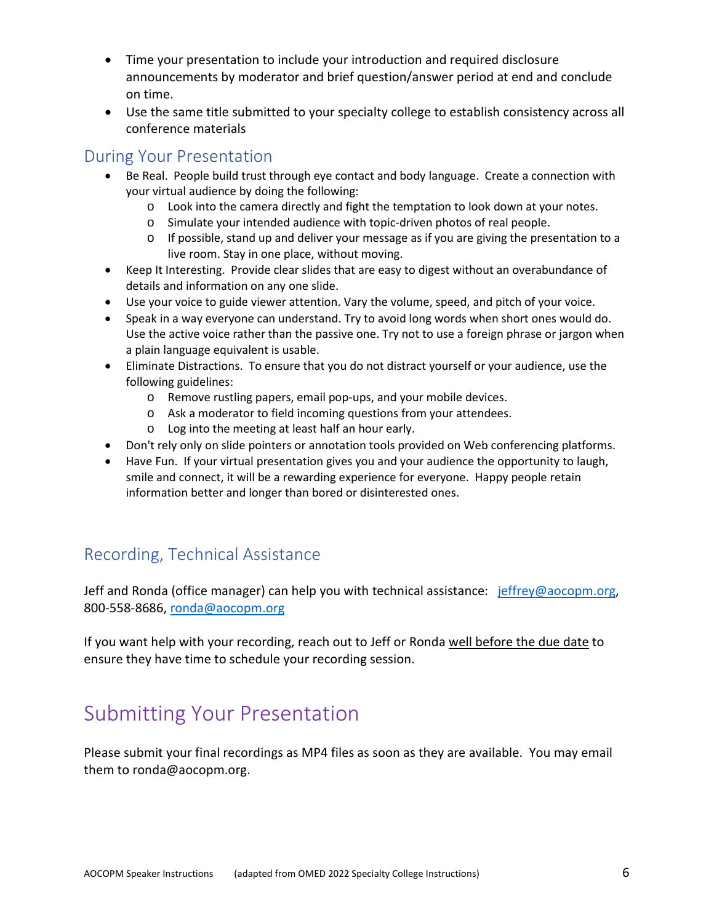- Time your presentation to include your introduction and required disclosure announcements by moderator and brief question/answer period at end and conclude on time.
- Use the same title submitted to your specialty college to establish consistency across all conference materials

#### During Your Presentation

- Be Real. People build trust through eye contact and body language. Create a connection with your virtual audience by doing the following:
	- o Look into the camera directly and fight the temptation to look down at your notes.
	- o Simulate your intended audience with topic-driven photos of real people.
	- $\circ$  If possible, stand up and deliver your message as if you are giving the presentation to a live room. Stay in one place, without moving.
- Keep It Interesting. Provide clear slides that are easy to digest without an overabundance of details and information on any one slide.
- Use your voice to guide viewer attention. Vary the volume, speed, and pitch of your voice.
- Speak in a way everyone can understand. Try to avoid long words when short ones would do. Use the active voice rather than the passive one. Try not to use a foreign phrase or jargon when a plain language equivalent is usable.
- Eliminate Distractions. To ensure that you do not distract yourself or your audience, use the following guidelines:
	- o Remove rustling papers, email pop-ups, and your mobile devices.
	- o Ask a moderator to field incoming questions from your attendees.
	- o Log into the meeting at least half an hour early.
- Don't rely only on slide pointers or annotation tools provided on Web conferencing platforms.
- Have Fun. If your virtual presentation gives you and your audience the opportunity to laugh, smile and connect, it will be a rewarding experience for everyone. Happy people retain information better and longer than bored or disinterested ones.

## Recording, Technical Assistance

Jeff and Ronda (office manager) can help you with technical assistance: jeffrey@aocopm.org, 800-558-8686, ronda@aocopm.org

If you want help with your recording, reach out to Jeff or Ronda well before the due date to ensure they have time to schedule your recording session.

# Submitting Your Presentation

Please submit your final recordings as MP4 files as soon as they are available. You may email them to ronda@aocopm.org.